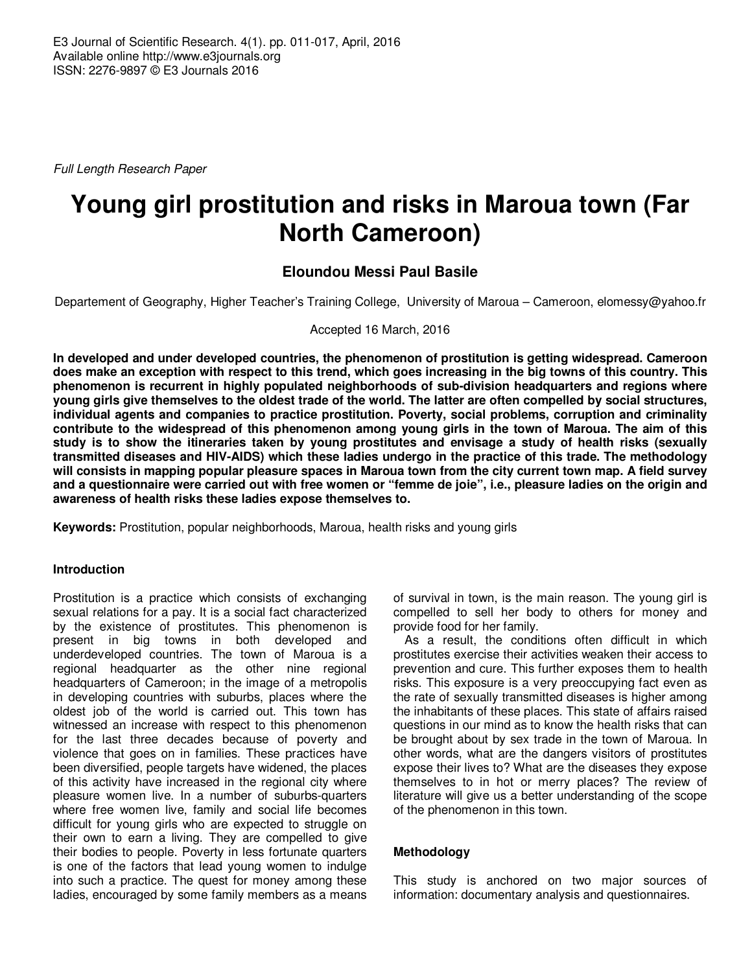Full Length Research Paper

# **Young girl prostitution and risks in Maroua town (Far North Cameroon)**

## **Eloundou Messi Paul Basile**

Departement of Geography, Higher Teacher's Training College, University of Maroua – Cameroon, elomessy@yahoo.fr

Accepted 16 March, 2016

**In developed and under developed countries, the phenomenon of prostitution is getting widespread. Cameroon does make an exception with respect to this trend, which goes increasing in the big towns of this country. This phenomenon is recurrent in highly populated neighborhoods of sub-division headquarters and regions where young girls give themselves to the oldest trade of the world. The latter are often compelled by social structures, individual agents and companies to practice prostitution. Poverty, social problems, corruption and criminality contribute to the widespread of this phenomenon among young girls in the town of Maroua. The aim of this study is to show the itineraries taken by young prostitutes and envisage a study of health risks (sexually transmitted diseases and HIV-AIDS) which these ladies undergo in the practice of this trade. The methodology will consists in mapping popular pleasure spaces in Maroua town from the city current town map. A field survey and a questionnaire were carried out with free women or "femme de joie", i.e., pleasure ladies on the origin and awareness of health risks these ladies expose themselves to.** 

**Keywords:** Prostitution, popular neighborhoods, Maroua, health risks and young girls

#### **Introduction**

Prostitution is a practice which consists of exchanging sexual relations for a pay. It is a social fact characterized by the existence of prostitutes. This phenomenon is present in big towns in both developed and underdeveloped countries. The town of Maroua is a regional headquarter as the other nine regional headquarters of Cameroon; in the image of a metropolis in developing countries with suburbs, places where the oldest job of the world is carried out. This town has witnessed an increase with respect to this phenomenon for the last three decades because of poverty and violence that goes on in families. These practices have been diversified, people targets have widened, the places of this activity have increased in the regional city where pleasure women live. In a number of suburbs-quarters where free women live, family and social life becomes difficult for young girls who are expected to struggle on their own to earn a living. They are compelled to give their bodies to people. Poverty in less fortunate quarters is one of the factors that lead young women to indulge into such a practice. The quest for money among these ladies, encouraged by some family members as a means

of survival in town, is the main reason. The young girl is compelled to sell her body to others for money and provide food for her family.

As a result, the conditions often difficult in which prostitutes exercise their activities weaken their access to prevention and cure. This further exposes them to health risks. This exposure is a very preoccupying fact even as the rate of sexually transmitted diseases is higher among the inhabitants of these places. This state of affairs raised questions in our mind as to know the health risks that can be brought about by sex trade in the town of Maroua. In other words, what are the dangers visitors of prostitutes expose their lives to? What are the diseases they expose themselves to in hot or merry places? The review of literature will give us a better understanding of the scope of the phenomenon in this town.

### **Methodology**

This study is anchored on two major sources of information: documentary analysis and questionnaires.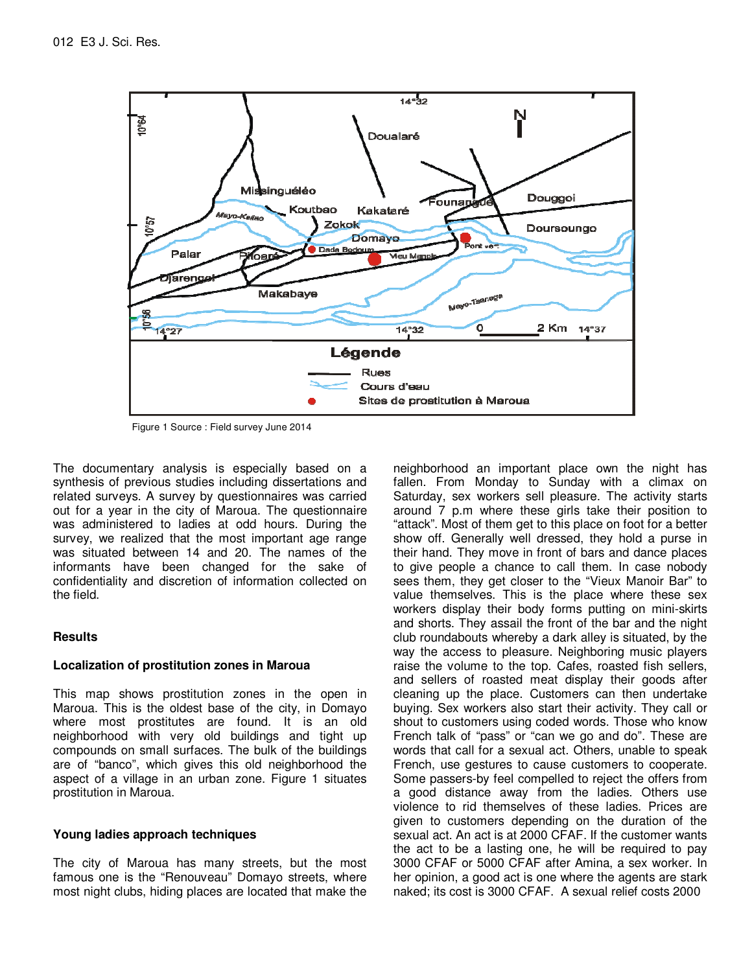

Figure 1 Source : Field survey June 2014

The documentary analysis is especially based on a synthesis of previous studies including dissertations and related surveys. A survey by questionnaires was carried out for a year in the city of Maroua. The questionnaire was administered to ladies at odd hours. During the survey, we realized that the most important age range was situated between 14 and 20. The names of the informants have been changed for the sake of confidentiality and discretion of information collected on the field.

### **Results**

#### **Localization of prostitution zones in Maroua**

This map shows prostitution zones in the open in Maroua. This is the oldest base of the city, in Domayo where most prostitutes are found. It is an old neighborhood with very old buildings and tight up compounds on small surfaces. The bulk of the buildings are of "banco", which gives this old neighborhood the aspect of a village in an urban zone. Figure 1 situates prostitution in Maroua.

#### **Young ladies approach techniques**

The city of Maroua has many streets, but the most famous one is the "Renouveau" Domayo streets, where most night clubs, hiding places are located that make the

neighborhood an important place own the night has fallen. From Monday to Sunday with a climax on Saturday, sex workers sell pleasure. The activity starts around 7 p.m where these girls take their position to "attack". Most of them get to this place on foot for a better show off. Generally well dressed, they hold a purse in their hand. They move in front of bars and dance places to give people a chance to call them. In case nobody sees them, they get closer to the "Vieux Manoir Bar" to value themselves. This is the place where these sex workers display their body forms putting on mini-skirts and shorts. They assail the front of the bar and the night club roundabouts whereby a dark alley is situated, by the way the access to pleasure. Neighboring music players raise the volume to the top. Cafes, roasted fish sellers, and sellers of roasted meat display their goods after cleaning up the place. Customers can then undertake buying. Sex workers also start their activity. They call or shout to customers using coded words. Those who know French talk of "pass" or "can we go and do". These are words that call for a sexual act. Others, unable to speak French, use gestures to cause customers to cooperate. Some passers-by feel compelled to reject the offers from a good distance away from the ladies. Others use violence to rid themselves of these ladies. Prices are given to customers depending on the duration of the sexual act. An act is at 2000 CFAF. If the customer wants the act to be a lasting one, he will be required to pay 3000 CFAF or 5000 CFAF after Amina, a sex worker. In her opinion, a good act is one where the agents are stark naked; its cost is 3000 CFAF. A sexual relief costs 2000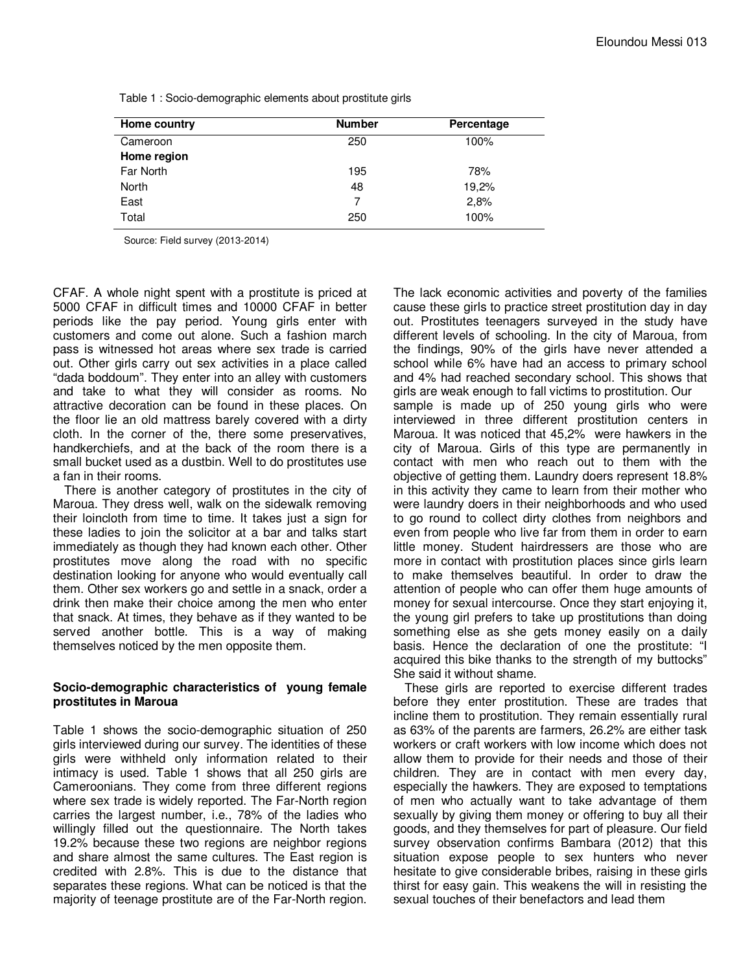| Home country | <b>Number</b> | Percentage |
|--------------|---------------|------------|
| Cameroon     | 250           | 100%       |
| Home region  |               |            |
| Far North    | 195           | 78%        |
| North        | 48            | 19,2%      |
| East         | 7             | 2,8%       |
| Total        | 250           | 100%       |

Table 1 : Socio-demographic elements about prostitute girls

Source: Field survey (2013-2014)

CFAF. A whole night spent with a prostitute is priced at 5000 CFAF in difficult times and 10000 CFAF in better periods like the pay period. Young girls enter with customers and come out alone. Such a fashion march pass is witnessed hot areas where sex trade is carried out. Other girls carry out sex activities in a place called "dada boddoum". They enter into an alley with customers and take to what they will consider as rooms. No attractive decoration can be found in these places. On the floor lie an old mattress barely covered with a dirty cloth. In the corner of the, there some preservatives, handkerchiefs, and at the back of the room there is a small bucket used as a dustbin. Well to do prostitutes use a fan in their rooms.

There is another category of prostitutes in the city of Maroua. They dress well, walk on the sidewalk removing their loincloth from time to time. It takes just a sign for these ladies to join the solicitor at a bar and talks start immediately as though they had known each other. Other prostitutes move along the road with no specific destination looking for anyone who would eventually call them. Other sex workers go and settle in a snack, order a drink then make their choice among the men who enter that snack. At times, they behave as if they wanted to be served another bottle. This is a way of making themselves noticed by the men opposite them.

#### **Socio-demographic characteristics of young female prostitutes in Maroua**

Table 1 shows the socio-demographic situation of 250 girls interviewed during our survey. The identities of these girls were withheld only information related to their intimacy is used. Table 1 shows that all 250 girls are Cameroonians. They come from three different regions where sex trade is widely reported. The Far-North region carries the largest number, i.e., 78% of the ladies who willingly filled out the questionnaire. The North takes 19.2% because these two regions are neighbor regions and share almost the same cultures. The East region is credited with 2.8%. This is due to the distance that separates these regions. What can be noticed is that the majority of teenage prostitute are of the Far-North region.

The lack economic activities and poverty of the families cause these girls to practice street prostitution day in day out. Prostitutes teenagers surveyed in the study have different levels of schooling. In the city of Maroua, from the findings, 90% of the girls have never attended a school while 6% have had an access to primary school and 4% had reached secondary school. This shows that girls are weak enough to fall victims to prostitution. Our sample is made up of 250 young girls who were interviewed in three different prostitution centers in Maroua. It was noticed that 45,2% were hawkers in the city of Maroua. Girls of this type are permanently in contact with men who reach out to them with the objective of getting them. Laundry doers represent 18.8% in this activity they came to learn from their mother who were laundry doers in their neighborhoods and who used to go round to collect dirty clothes from neighbors and even from people who live far from them in order to earn little money. Student hairdressers are those who are more in contact with prostitution places since girls learn to make themselves beautiful. In order to draw the attention of people who can offer them huge amounts of money for sexual intercourse. Once they start enjoying it, the young girl prefers to take up prostitutions than doing something else as she gets money easily on a daily basis. Hence the declaration of one the prostitute: "I acquired this bike thanks to the strength of my buttocks" She said it without shame.

These girls are reported to exercise different trades before they enter prostitution. These are trades that incline them to prostitution. They remain essentially rural as 63% of the parents are farmers, 26.2% are either task workers or craft workers with low income which does not allow them to provide for their needs and those of their children. They are in contact with men every day, especially the hawkers. They are exposed to temptations of men who actually want to take advantage of them sexually by giving them money or offering to buy all their goods, and they themselves for part of pleasure. Our field survey observation confirms Bambara (2012) that this situation expose people to sex hunters who never hesitate to give considerable bribes, raising in these girls thirst for easy gain. This weakens the will in resisting the sexual touches of their benefactors and lead them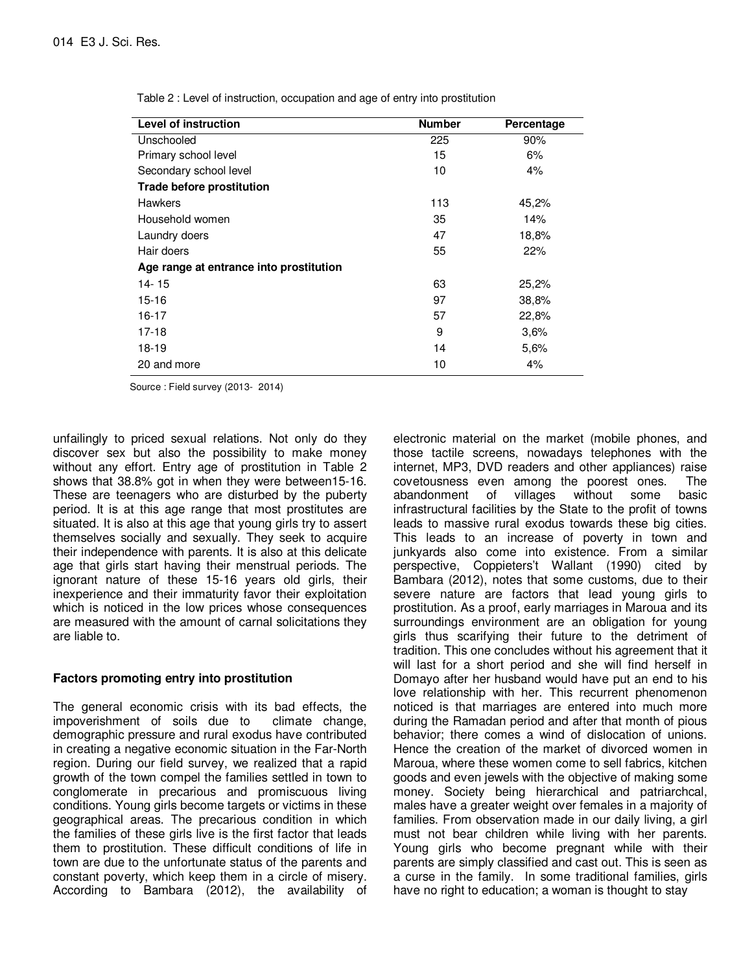| Level of instruction                    | <b>Number</b> | Percentage |
|-----------------------------------------|---------------|------------|
| Unschooled                              | 225           | 90%        |
| Primary school level                    | 15            | 6%         |
| Secondary school level                  | 10            | 4%         |
| <b>Trade before prostitution</b>        |               |            |
| <b>Hawkers</b>                          | 113           | 45,2%      |
| Household women                         | 35            | 14%        |
| Laundry doers                           | 47            | 18,8%      |
| Hair doers                              | 55            | 22%        |
| Age range at entrance into prostitution |               |            |
| 14-15                                   | 63            | 25,2%      |
| $15 - 16$                               | 97            | 38,8%      |
| 16-17                                   | 57            | 22,8%      |
| $17 - 18$                               | 9             | 3.6%       |
| 18-19                                   | 14            | 5.6%       |
| 20 and more                             | 10            | 4%         |

Table 2 : Level of instruction, occupation and age of entry into prostitution

Source : Field survey (2013- 2014)

unfailingly to priced sexual relations. Not only do they discover sex but also the possibility to make money without any effort. Entry age of prostitution in Table 2 shows that 38.8% got in when they were between15-16. These are teenagers who are disturbed by the puberty period. It is at this age range that most prostitutes are situated. It is also at this age that young girls try to assert themselves socially and sexually. They seek to acquire their independence with parents. It is also at this delicate age that girls start having their menstrual periods. The ignorant nature of these 15-16 years old girls, their inexperience and their immaturity favor their exploitation which is noticed in the low prices whose consequences are measured with the amount of carnal solicitations they are liable to.

#### **Factors promoting entry into prostitution**

The general economic crisis with its bad effects, the impoverishment of soils due to climate change, demographic pressure and rural exodus have contributed in creating a negative economic situation in the Far-North region. During our field survey, we realized that a rapid growth of the town compel the families settled in town to conglomerate in precarious and promiscuous living conditions. Young girls become targets or victims in these geographical areas. The precarious condition in which the families of these girls live is the first factor that leads them to prostitution. These difficult conditions of life in town are due to the unfortunate status of the parents and constant poverty, which keep them in a circle of misery. According to Bambara (2012), the availability of

electronic material on the market (mobile phones, and those tactile screens, nowadays telephones with the internet, MP3, DVD readers and other appliances) raise covetousness even among the poorest ones. The abandonment of villages without some basic infrastructural facilities by the State to the profit of towns leads to massive rural exodus towards these big cities. This leads to an increase of poverty in town and junkyards also come into existence. From a similar perspective, Coppieters't Wallant (1990) cited by Bambara (2012), notes that some customs, due to their severe nature are factors that lead young girls to prostitution. As a proof, early marriages in Maroua and its surroundings environment are an obligation for young girls thus scarifying their future to the detriment of tradition. This one concludes without his agreement that it will last for a short period and she will find herself in Domayo after her husband would have put an end to his love relationship with her. This recurrent phenomenon noticed is that marriages are entered into much more during the Ramadan period and after that month of pious behavior; there comes a wind of dislocation of unions. Hence the creation of the market of divorced women in Maroua, where these women come to sell fabrics, kitchen goods and even jewels with the objective of making some money. Society being hierarchical and patriarchcal, males have a greater weight over females in a majority of families. From observation made in our daily living, a girl must not bear children while living with her parents. Young girls who become pregnant while with their parents are simply classified and cast out. This is seen as a curse in the family. In some traditional families, girls have no right to education; a woman is thought to stay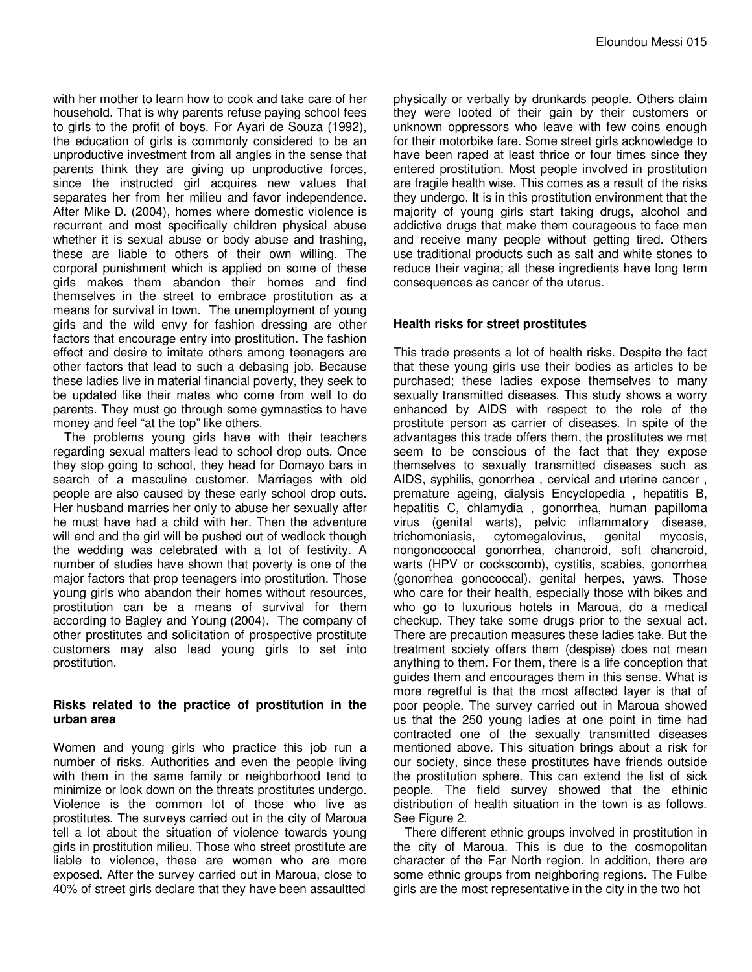with her mother to learn how to cook and take care of her household. That is why parents refuse paying school fees to girls to the profit of boys. For Ayari de Souza (1992), the education of girls is commonly considered to be an unproductive investment from all angles in the sense that parents think they are giving up unproductive forces, since the instructed girl acquires new values that separates her from her milieu and favor independence. After Mike D. (2004), homes where domestic violence is recurrent and most specifically children physical abuse whether it is sexual abuse or body abuse and trashing, these are liable to others of their own willing. The corporal punishment which is applied on some of these girls makes them abandon their homes and find themselves in the street to embrace prostitution as a means for survival in town. The unemployment of young girls and the wild envy for fashion dressing are other factors that encourage entry into prostitution. The fashion effect and desire to imitate others among teenagers are other factors that lead to such a debasing job. Because these ladies live in material financial poverty, they seek to be updated like their mates who come from well to do parents. They must go through some gymnastics to have money and feel "at the top" like others.

The problems young girls have with their teachers regarding sexual matters lead to school drop outs. Once they stop going to school, they head for Domayo bars in search of a masculine customer. Marriages with old people are also caused by these early school drop outs. Her husband marries her only to abuse her sexually after he must have had a child with her. Then the adventure will end and the girl will be pushed out of wedlock though the wedding was celebrated with a lot of festivity. A number of studies have shown that poverty is one of the major factors that prop teenagers into prostitution. Those young girls who abandon their homes without resources, prostitution can be a means of survival for them according to Bagley and Young (2004). The company of other prostitutes and solicitation of prospective prostitute customers may also lead young girls to set into prostitution.

#### **Risks related to the practice of prostitution in the urban area**

Women and young girls who practice this job run a number of risks. Authorities and even the people living with them in the same family or neighborhood tend to minimize or look down on the threats prostitutes undergo. Violence is the common lot of those who live as prostitutes. The surveys carried out in the city of Maroua tell a lot about the situation of violence towards young girls in prostitution milieu. Those who street prostitute are liable to violence, these are women who are more exposed. After the survey carried out in Maroua, close to 40% of street girls declare that they have been assaultted

physically or verbally by drunkards people. Others claim they were looted of their gain by their customers or unknown oppressors who leave with few coins enough for their motorbike fare. Some street girls acknowledge to have been raped at least thrice or four times since they entered prostitution. Most people involved in prostitution are fragile health wise. This comes as a result of the risks they undergo. It is in this prostitution environment that the majority of young girls start taking drugs, alcohol and addictive drugs that make them courageous to face men and receive many people without getting tired. Others use traditional products such as salt and white stones to reduce their vagina; all these ingredients have long term consequences as cancer of the uterus.

#### **Health risks for street prostitutes**

This trade presents a lot of health risks. Despite the fact that these young girls use their bodies as articles to be purchased; these ladies expose themselves to many sexually transmitted diseases. This study shows a worry enhanced by AIDS with respect to the role of the prostitute person as carrier of diseases. In spite of the advantages this trade offers them, the prostitutes we met seem to be conscious of the fact that they expose themselves to sexually transmitted diseases such as AIDS, syphilis, gonorrhea , cervical and uterine cancer , premature ageing, dialysis Encyclopedia , hepatitis B, hepatitis C, chlamydia , gonorrhea, human papilloma virus (genital warts), pelvic inflammatory disease, trichomoniasis, cytomegalovirus, genital mycosis, nongonococcal gonorrhea, chancroid, soft chancroid, warts (HPV or cockscomb), cystitis, scabies, gonorrhea (gonorrhea gonococcal), genital herpes, yaws. Those who care for their health, especially those with bikes and who go to luxurious hotels in Maroua, do a medical checkup. They take some drugs prior to the sexual act. There are precaution measures these ladies take. But the treatment society offers them (despise) does not mean anything to them. For them, there is a life conception that guides them and encourages them in this sense. What is more regretful is that the most affected layer is that of poor people. The survey carried out in Maroua showed us that the 250 young ladies at one point in time had contracted one of the sexually transmitted diseases mentioned above. This situation brings about a risk for our society, since these prostitutes have friends outside the prostitution sphere. This can extend the list of sick people. The field survey showed that the ethinic distribution of health situation in the town is as follows. See Figure 2.

There different ethnic groups involved in prostitution in the city of Maroua. This is due to the cosmopolitan character of the Far North region. In addition, there are some ethnic groups from neighboring regions. The Fulbe girls are the most representative in the city in the two hot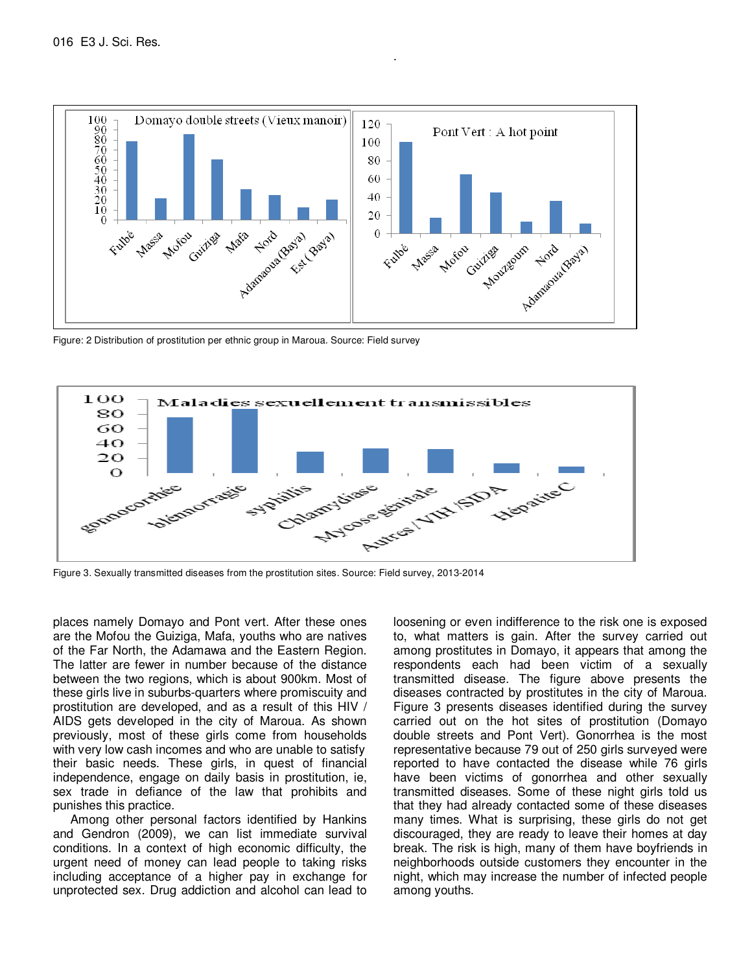

.

Figure: 2 Distribution of prostitution per ethnic group in Maroua. Source: Field survey



Figure 3. Sexually transmitted diseases from the prostitution sites. Source: Field survey, 2013-2014

places namely Domayo and Pont vert. After these ones are the Mofou the Guiziga, Mafa, youths who are natives of the Far North, the Adamawa and the Eastern Region. The latter are fewer in number because of the distance between the two regions, which is about 900km. Most of these girls live in suburbs-quarters where promiscuity and prostitution are developed, and as a result of this HIV / AIDS gets developed in the city of Maroua. As shown previously, most of these girls come from households with very low cash incomes and who are unable to satisfy their basic needs. These girls, in quest of financial independence, engage on daily basis in prostitution, ie, sex trade in defiance of the law that prohibits and punishes this practice.

 Among other personal factors identified by Hankins and Gendron (2009), we can list immediate survival conditions. In a context of high economic difficulty, the urgent need of money can lead people to taking risks including acceptance of a higher pay in exchange for unprotected sex. Drug addiction and alcohol can lead to loosening or even indifference to the risk one is exposed to, what matters is gain. After the survey carried out among prostitutes in Domayo, it appears that among the respondents each had been victim of a sexually transmitted disease. The figure above presents the diseases contracted by prostitutes in the city of Maroua. Figure 3 presents diseases identified during the survey carried out on the hot sites of prostitution (Domayo double streets and Pont Vert). Gonorrhea is the most representative because 79 out of 250 girls surveyed were reported to have contacted the disease while 76 girls have been victims of gonorrhea and other sexually transmitted diseases. Some of these night girls told us that they had already contacted some of these diseases many times. What is surprising, these girls do not get discouraged, they are ready to leave their homes at day break. The risk is high, many of them have boyfriends in neighborhoods outside customers they encounter in the night, which may increase the number of infected people among youths.